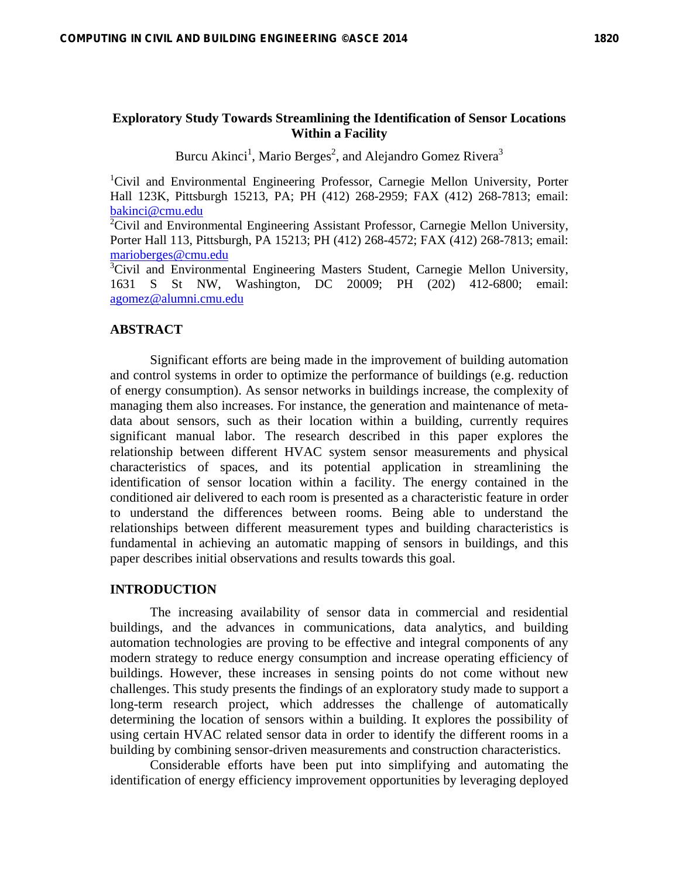## **Exploratory Study Towards Streamlining the Identification of Sensor Locations Within a Facility**

Burcu Akinci<sup>1</sup>, Mario Berges<sup>2</sup>, and Alejandro Gomez Rivera<sup>3</sup>

<sup>1</sup>Civil and Environmental Engineering Professor, Carnegie Mellon University, Porter Hall 123K, Pittsburgh 15213, PA; PH (412) 268-2959; FAX (412) 268-7813; email: bakinci@cmu.edu

<sup>2</sup>Civil and Environmental Engineering Assistant Professor, Carnegie Mellon University, Porter Hall 113, Pittsburgh, PA 15213; PH (412) 268-4572; FAX (412) 268-7813; email: marioberges@cmu.edu

<sup>3</sup>Civil and Environmental Engineering Masters Student, Carnegie Mellon University, 1631 S St NW, Washington, DC 20009; PH (202) 412-6800; email: agomez@alumni.cmu.edu

## **ABSTRACT**

Significant efforts are being made in the improvement of building automation and control systems in order to optimize the performance of buildings (e.g. reduction of energy consumption). As sensor networks in buildings increase, the complexity of managing them also increases. For instance, the generation and maintenance of metadata about sensors, such as their location within a building, currently requires significant manual labor. The research described in this paper explores the relationship between different HVAC system sensor measurements and physical characteristics of spaces, and its potential application in streamlining the identification of sensor location within a facility. The energy contained in the conditioned air delivered to each room is presented as a characteristic feature in order to understand the differences between rooms. Being able to understand the relationships between different measurement types and building characteristics is fundamental in achieving an automatic mapping of sensors in buildings, and this paper describes initial observations and results towards this goal.

#### **INTRODUCTION**

The increasing availability of sensor data in commercial and residential buildings, and the advances in communications, data analytics, and building automation technologies are proving to be effective and integral components of any modern strategy to reduce energy consumption and increase operating efficiency of buildings. However, these increases in sensing points do not come without new challenges. This study presents the findings of an exploratory study made to support a long-term research project, which addresses the challenge of automatically determining the location of sensors within a building. It explores the possibility of using certain HVAC related sensor data in order to identify the different rooms in a building by combining sensor-driven measurements and construction characteristics.

Considerable efforts have been put into simplifying and automating the identification of energy efficiency improvement opportunities by leveraging deployed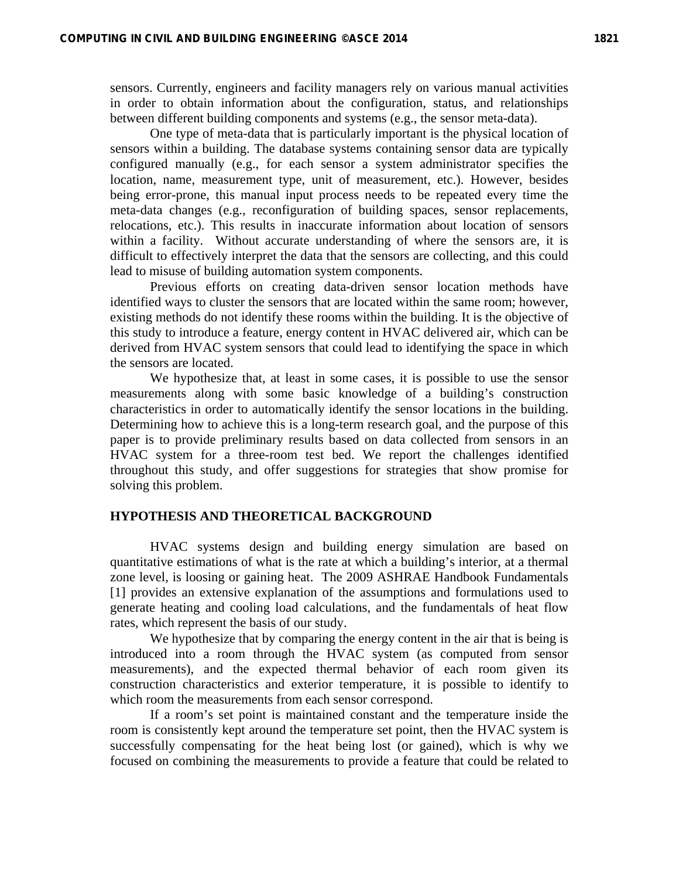sensors. Currently, engineers and facility managers rely on various manual activities in order to obtain information about the configuration, status, and relationships between different building components and systems (e.g., the sensor meta-data).

One type of meta-data that is particularly important is the physical location of sensors within a building. The database systems containing sensor data are typically configured manually (e.g., for each sensor a system administrator specifies the location, name, measurement type, unit of measurement, etc.). However, besides being error-prone, this manual input process needs to be repeated every time the meta-data changes (e.g., reconfiguration of building spaces, sensor replacements, relocations, etc.). This results in inaccurate information about location of sensors within a facility. Without accurate understanding of where the sensors are, it is difficult to effectively interpret the data that the sensors are collecting, and this could lead to misuse of building automation system components.

Previous efforts on creating data-driven sensor location methods have identified ways to cluster the sensors that are located within the same room; however, existing methods do not identify these rooms within the building. It is the objective of this study to introduce a feature, energy content in HVAC delivered air, which can be derived from HVAC system sensors that could lead to identifying the space in which the sensors are located.

We hypothesize that, at least in some cases, it is possible to use the sensor measurements along with some basic knowledge of a building's construction characteristics in order to automatically identify the sensor locations in the building. Determining how to achieve this is a long-term research goal, and the purpose of this paper is to provide preliminary results based on data collected from sensors in an HVAC system for a three-room test bed. We report the challenges identified throughout this study, and offer suggestions for strategies that show promise for solving this problem.

### **HYPOTHESIS AND THEORETICAL BACKGROUND**

HVAC systems design and building energy simulation are based on quantitative estimations of what is the rate at which a building's interior, at a thermal zone level, is loosing or gaining heat. The 2009 ASHRAE Handbook Fundamentals [1] provides an extensive explanation of the assumptions and formulations used to generate heating and cooling load calculations, and the fundamentals of heat flow rates, which represent the basis of our study.

We hypothesize that by comparing the energy content in the air that is being is introduced into a room through the HVAC system (as computed from sensor measurements), and the expected thermal behavior of each room given its construction characteristics and exterior temperature, it is possible to identify to which room the measurements from each sensor correspond.

If a room's set point is maintained constant and the temperature inside the room is consistently kept around the temperature set point, then the HVAC system is successfully compensating for the heat being lost (or gained), which is why we focused on combining the measurements to provide a feature that could be related to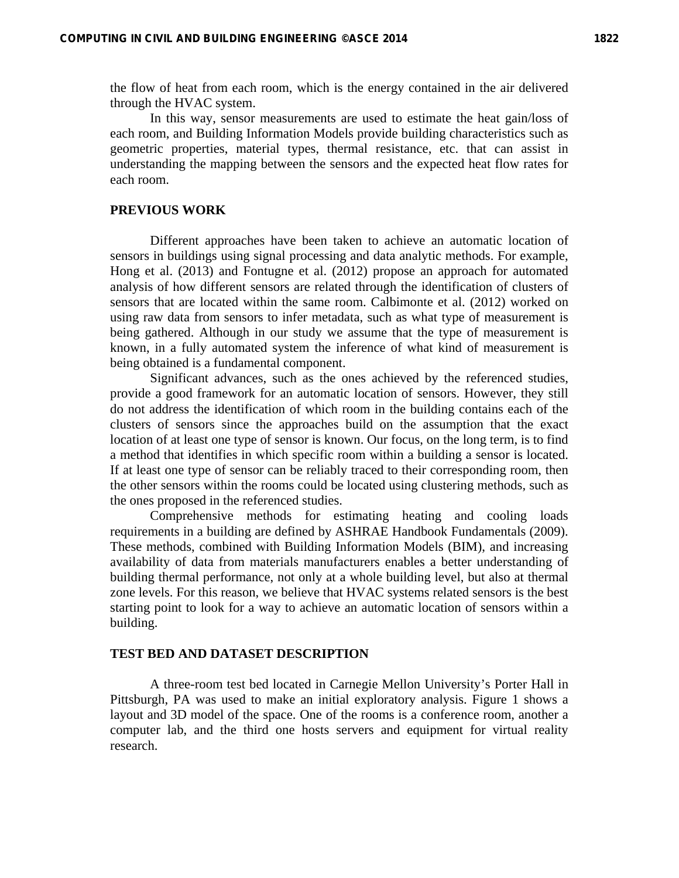the flow of heat from each room, which is the energy contained in the air delivered through the HVAC system.

In this way, sensor measurements are used to estimate the heat gain/loss of each room, and Building Information Models provide building characteristics such as geometric properties, material types, thermal resistance, etc. that can assist in understanding the mapping between the sensors and the expected heat flow rates for each room.

# **PREVIOUS WORK**

Different approaches have been taken to achieve an automatic location of sensors in buildings using signal processing and data analytic methods. For example, Hong et al. (2013) and Fontugne et al. (2012) propose an approach for automated analysis of how different sensors are related through the identification of clusters of sensors that are located within the same room. Calbimonte et al. (2012) worked on using raw data from sensors to infer metadata, such as what type of measurement is being gathered. Although in our study we assume that the type of measurement is known, in a fully automated system the inference of what kind of measurement is being obtained is a fundamental component.

Significant advances, such as the ones achieved by the referenced studies, provide a good framework for an automatic location of sensors. However, they still do not address the identification of which room in the building contains each of the clusters of sensors since the approaches build on the assumption that the exact location of at least one type of sensor is known. Our focus, on the long term, is to find a method that identifies in which specific room within a building a sensor is located. If at least one type of sensor can be reliably traced to their corresponding room, then the other sensors within the rooms could be located using clustering methods, such as the ones proposed in the referenced studies.

Comprehensive methods for estimating heating and cooling loads requirements in a building are defined by ASHRAE Handbook Fundamentals (2009). These methods, combined with Building Information Models (BIM), and increasing availability of data from materials manufacturers enables a better understanding of building thermal performance, not only at a whole building level, but also at thermal zone levels. For this reason, we believe that HVAC systems related sensors is the best starting point to look for a way to achieve an automatic location of sensors within a building.

#### **TEST BED AND DATASET DESCRIPTION**

A three-room test bed located in Carnegie Mellon University's Porter Hall in Pittsburgh, PA was used to make an initial exploratory analysis. Figure 1 shows a layout and 3D model of the space. One of the rooms is a conference room, another a computer lab, and the third one hosts servers and equipment for virtual reality research.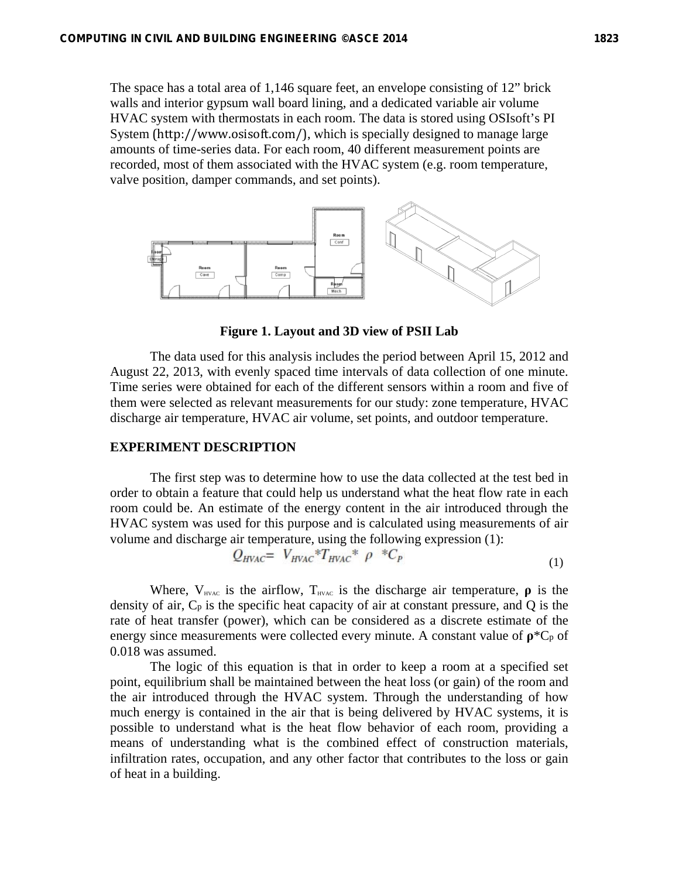The space has a total area of 1,146 square feet, an envelope consisting of 12" brick walls and interior gypsum wall board lining, and a dedicated variable air volume HVAC system with thermostats in each room. The data is stored using OSIsoft's PI System (http://www.osisoft.com/), which is specially designed to manage large amounts of time-series data. For each room, 40 different measurement points are recorded, most of them associated with the HVAC system (e.g. room temperature, valve position, damper commands, and set points).



**Figure 1. Layout and 3D view of PSII Lab** 

The data used for this analysis includes the period between April 15, 2012 and August 22, 2013, with evenly spaced time intervals of data collection of one minute. Time series were obtained for each of the different sensors within a room and five of them were selected as relevant measurements for our study: zone temperature, HVAC discharge air temperature, HVAC air volume, set points, and outdoor temperature.

# **EXPERIMENT DESCRIPTION**

The first step was to determine how to use the data collected at the test bed in order to obtain a feature that could help us understand what the heat flow rate in each room could be. An estimate of the energy content in the air introduced through the HVAC system was used for this purpose and is calculated using measurements of air volume and discharge air temperature, using the following expression (1):

$$
Q_{\text{HVAC}} = V_{\text{HVAC}} \cdot T_{\text{HVAC}} \cdot \rho \cdot C_p \tag{1}
$$

Where,  $V_{\text{HVAC}}$  is the airflow,  $T_{\text{HVAC}}$  is the discharge air temperature,  $\rho$  is the density of air,  $C_p$  is the specific heat capacity of air at constant pressure, and Q is the rate of heat transfer (power), which can be considered as a discrete estimate of the energy since measurements were collected every minute. A constant value of **ρ**\*Cp of 0.018 was assumed.

The logic of this equation is that in order to keep a room at a specified set point, equilibrium shall be maintained between the heat loss (or gain) of the room and the air introduced through the HVAC system. Through the understanding of how much energy is contained in the air that is being delivered by HVAC systems, it is possible to understand what is the heat flow behavior of each room, providing a means of understanding what is the combined effect of construction materials, infiltration rates, occupation, and any other factor that contributes to the loss or gain of heat in a building.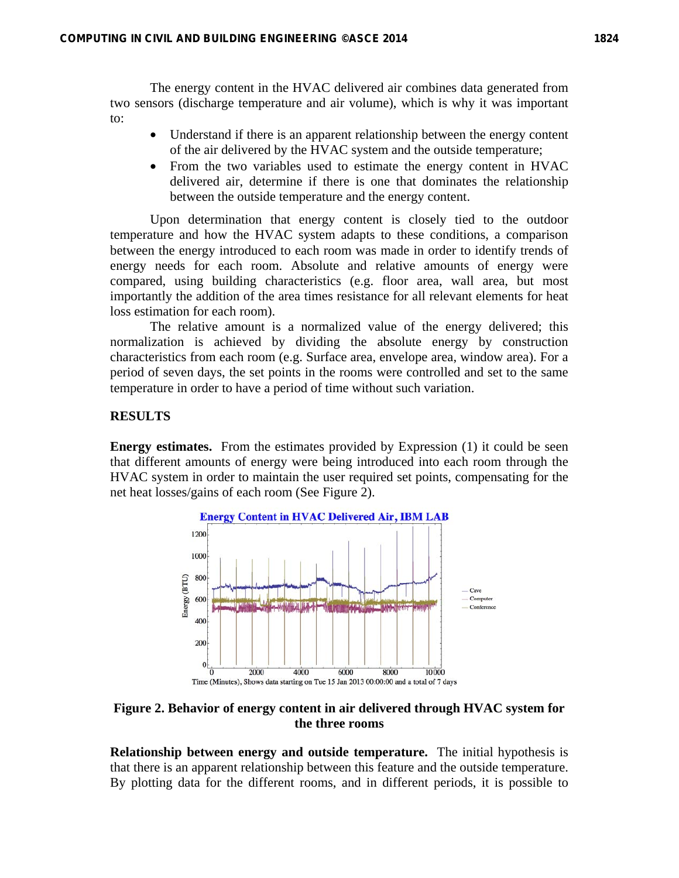The energy content in the HVAC delivered air combines data generated from two sensors (discharge temperature and air volume), which is why it was important to:

- Understand if there is an apparent relationship between the energy content of the air delivered by the HVAC system and the outside temperature;
- From the two variables used to estimate the energy content in HVAC delivered air, determine if there is one that dominates the relationship between the outside temperature and the energy content.

Upon determination that energy content is closely tied to the outdoor temperature and how the HVAC system adapts to these conditions, a comparison between the energy introduced to each room was made in order to identify trends of energy needs for each room. Absolute and relative amounts of energy were compared, using building characteristics (e.g. floor area, wall area, but most importantly the addition of the area times resistance for all relevant elements for heat loss estimation for each room).

The relative amount is a normalized value of the energy delivered; this normalization is achieved by dividing the absolute energy by construction characteristics from each room (e.g. Surface area, envelope area, window area). For a period of seven days, the set points in the rooms were controlled and set to the same temperature in order to have a period of time without such variation.

### **RESULTS**

**Energy estimates.** From the estimates provided by Expression (1) it could be seen that different amounts of energy were being introduced into each room through the HVAC system in order to maintain the user required set points, compensating for the net heat losses/gains of each room (See Figure 2).



**Figure 2. Behavior of energy content in air delivered through HVAC system for the three rooms** 

**Relationship between energy and outside temperature.** The initial hypothesis is that there is an apparent relationship between this feature and the outside temperature. By plotting data for the different rooms, and in different periods, it is possible to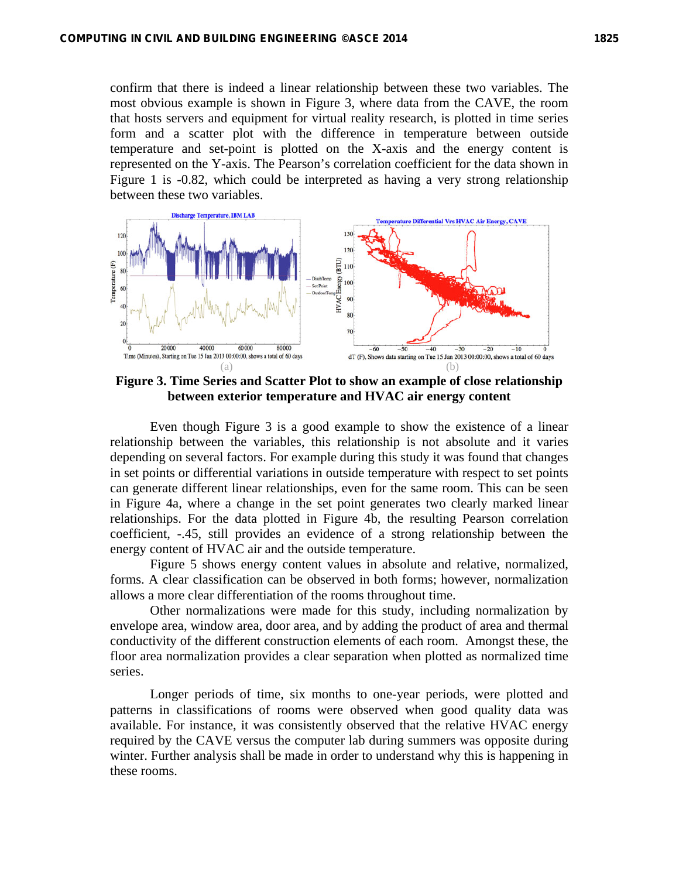confirm that there is indeed a linear relationship between these two variables. The most obvious example is shown in Figure 3, where data from the CAVE, the room that hosts servers and equipment for virtual reality research, is plotted in time series form and a scatter plot with the difference in temperature between outside temperature and set-point is plotted on the X-axis and the energy content is represented on the Y-axis. The Pearson's correlation coefficient for the data shown in Figure 1 is -0.82, which could be interpreted as having a very strong relationship between these two variables.



**Figure 3. Time Series and Scatter Plot to show an example of close relationship between exterior temperature and HVAC air energy content** 

Even though Figure 3 is a good example to show the existence of a linear relationship between the variables, this relationship is not absolute and it varies depending on several factors. For example during this study it was found that changes in set points or differential variations in outside temperature with respect to set points can generate different linear relationships, even for the same room. This can be seen in Figure 4a, where a change in the set point generates two clearly marked linear relationships. For the data plotted in Figure 4b, the resulting Pearson correlation coefficient, -.45, still provides an evidence of a strong relationship between the energy content of HVAC air and the outside temperature.

Figure 5 shows energy content values in absolute and relative, normalized, forms. A clear classification can be observed in both forms; however, normalization allows a more clear differentiation of the rooms throughout time.

Other normalizations were made for this study, including normalization by envelope area, window area, door area, and by adding the product of area and thermal conductivity of the different construction elements of each room. Amongst these, the floor area normalization provides a clear separation when plotted as normalized time series.

Longer periods of time, six months to one-year periods, were plotted and patterns in classifications of rooms were observed when good quality data was available. For instance, it was consistently observed that the relative HVAC energy required by the CAVE versus the computer lab during summers was opposite during winter. Further analysis shall be made in order to understand why this is happening in these rooms.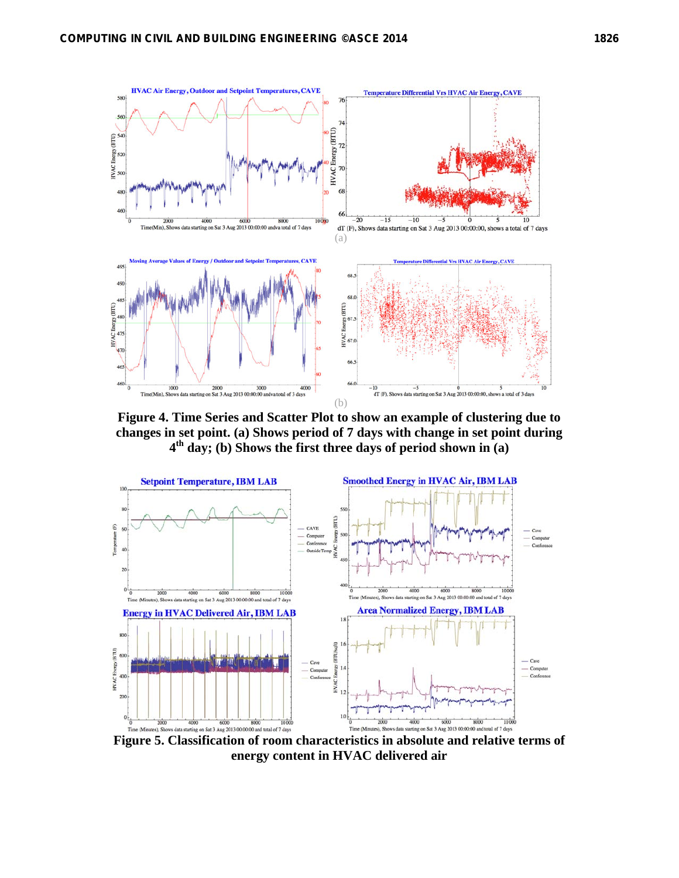

**Figure 4. Time Series and Scatter Plot to show an example of clustering due to changes in set point. (a) Shows period of 7 days with change in set point during 4th day; (b) Shows the first three days of period shown in (a)** 



**Figure 5. Classification of room characteristics in absolute and relative terms of energy content in HVAC delivered air**